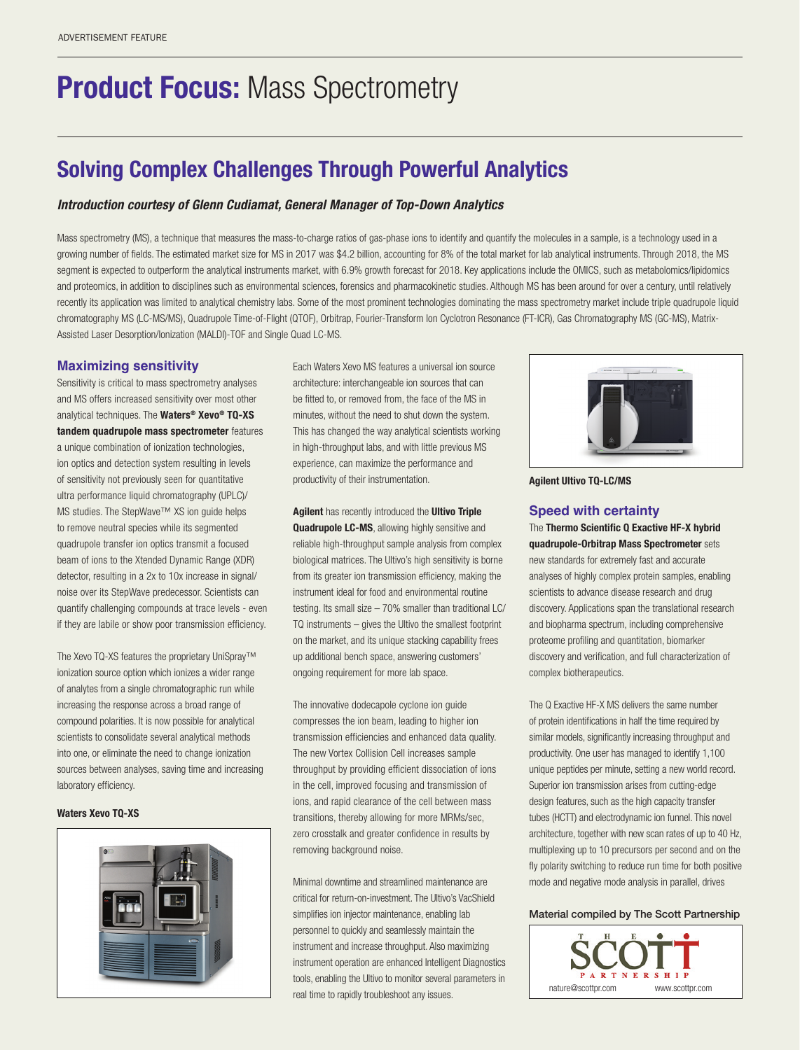# **Product Focus: Mass Spectrometry**

# Solving Complex Challenges Through Powerful Analytics

# *Introduction courtesy of Glenn Cudiamat, General Manager of Top-Down Analytics*

Mass spectrometry (MS), a technique that measures the mass-to-charge ratios of gas-phase ions to identify and quantify the molecules in a sample, is a technology used in a growing number of fields. The estimated market size for MS in 2017 was \$4.2 billion, accounting for 8% of the total market for lab analytical instruments. Through 2018, the MS segment is expected to outperform the analytical instruments market, with 6.9% growth forecast for 2018. Key applications include the OMICS, such as metabolomics/lipidomics and proteomics, in addition to disciplines such as environmental sciences, forensics and pharmacokinetic studies. Although MS has been around for over a century, until relatively recently its application was limited to analytical chemistry labs. Some of the most prominent technologies dominating the mass spectrometry market include triple quadrupole liquid chromatography MS (LC-MS/MS), Quadrupole Time-of-Flight (QTOF), Orbitrap, Fourier-Transform Ion Cyclotron Resonance (FT-ICR), Gas Chromatography MS (GC-MS), Matrix-Assisted Laser Desorption/Ionization (MALDI)-TOF and Single Quad LC-MS.

### **Maximizing sensitivity**

Sensitivity is critical to mass spectrometry analyses and MS offers increased sensitivity over most other analytical techniques. The Waters<sup>®</sup> Xevo<sup>®</sup> TQ-XS tandem quadrupole mass spectrometer features a unique combination of ionization technologies, ion optics and detection system resulting in levels of sensitivity not previously seen for quantitative ultra performance liquid chromatography (UPLC)/ MS studies. The StepWave™ XS ion guide helps to remove neutral species while its segmented quadrupole transfer ion optics transmit a focused beam of ions to the Xtended Dynamic Range (XDR) detector, resulting in a 2x to 10x increase in signal/ noise over its StepWave predecessor. Scientists can quantify challenging compounds at trace levels - even if they are labile or show poor transmission efficiency.

The Xevo TQ-XS features the proprietary UniSpray™ ionization source option which ionizes a wider range of analytes from a single chromatographic run while increasing the response across a broad range of compound polarities. It is now possible for analytical scientists to consolidate several analytical methods into one, or eliminate the need to change ionization sources between analyses, saving time and increasing laboratory efficiency.

#### Waters Xevo TQ-XS



Each Waters Xevo MS features a universal ion source architecture: interchangeable ion sources that can be fitted to, or removed from, the face of the MS in minutes, without the need to shut down the system. This has changed the way analytical scientists working in high-throughput labs, and with little previous MS experience, can maximize the performance and productivity of their instrumentation.

Agilent has recently introduced the Ultivo Triple Quadrupole LC-MS, allowing highly sensitive and reliable high-throughput sample analysis from complex biological matrices. The Ultivo's high sensitivity is borne from its greater ion transmission efficiency, making the instrument ideal for food and environmental routine testing. Its small size – 70% smaller than traditional LC/ TQ instruments – gives the Ultivo the smallest footprint on the market, and its unique stacking capability frees up additional bench space, answering customers' ongoing requirement for more lab space.

The innovative dodecapole cyclone ion guide compresses the ion beam, leading to higher ion transmission efficiencies and enhanced data quality. The new Vortex Collision Cell increases sample throughput by providing efficient dissociation of ions in the cell, improved focusing and transmission of ions, and rapid clearance of the cell between mass transitions, thereby allowing for more MRMs/sec, zero crosstalk and greater confidence in results by removing background noise.

Minimal downtime and streamlined maintenance are critical for return-on-investment. The Ultivo's VacShield simplifies ion injector maintenance, enabling lab personnel to quickly and seamlessly maintain the instrument and increase throughput. Also maximizing instrument operation are enhanced Intelligent Diagnostics tools, enabling the Ultivo to monitor several parameters in real time to rapidly troubleshoot any issues.



Agilent Ultivo TQ-LC/MS

### **Speed with certainty**

The Thermo Scientific Q Exactive HF-X hybrid quadrupole-Orbitrap Mass Spectrometer sets new standards for extremely fast and accurate analyses of highly complex protein samples, enabling scientists to advance disease research and drug discovery. Applications span the translational research and biopharma spectrum, including comprehensive proteome profiling and quantitation, biomarker discovery and verification, and full characterization of complex biotherapeutics.

The Q Exactive HF-X MS delivers the same number of protein identifications in half the time required by similar models, significantly increasing throughput and productivity. One user has managed to identify 1,100 unique peptides per minute, setting a new world record. Superior ion transmission arises from cutting-edge design features, such as the high capacity transfer tubes (HCTT) and electrodynamic ion funnel. This novel architecture, together with new scan rates of up to 40 Hz, multiplexing up to 10 precursors per second and on the fly polarity switching to reduce run time for both positive mode and negative mode analysis in parallel, drives

### Material compiled by The Scott Partnership